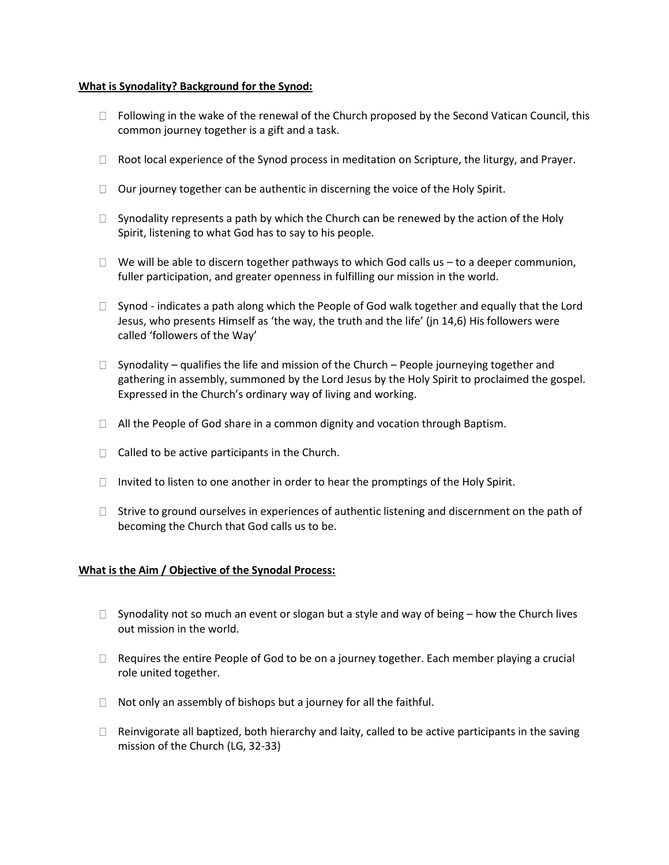### **What is Synodality? Background for the Synod:**

- $\Box$  Following in the wake of the renewal of the Church proposed by the Second Vatican Council, this common journey together is a gift and a task.
- $\Box$  Root local experience of the Synod process in meditation on Scripture, the liturgy, and Prayer.
- $\Box$  Our journey together can be authentic in discerning the voice of the Holy Spirit.
- $\Box$  Synodality represents a path by which the Church can be renewed by the action of the Holy Spirit, listening to what God has to say to his people.
- $\Box$  We will be able to discern together pathways to which God calls us to a deeper communion, fuller participation, and greater openness in fulfilling our mission in the world.
- $\Box$  Synod indicates a path along which the People of God walk together and equally that the Lord Jesus, who presents Himself as 'the way, the truth and the life' (jn 14,6) His followers were called 'followers of the Way'
- $\Box$  Synodality qualifies the life and mission of the Church People journeying together and gathering in assembly, summoned by the Lord Jesus by the Holy Spirit to proclaimed the gospel. Expressed in the Church's ordinary way of living and working.
- $\Box$  All the People of God share in a common dignity and vocation through Baptism.
- $\Box$  Called to be active participants in the Church.
- $\Box$  Invited to listen to one another in order to hear the promptings of the Holy Spirit.
- $\Box$  Strive to ground ourselves in experiences of authentic listening and discernment on the path of becoming the Church that God calls us to be.

## **What is the Aim / Objective of the Synodal Process:**

- $\Box$  Synodality not so much an event or slogan but a style and way of being how the Church lives out mission in the world.
- $\Box$  Requires the entire People of God to be on a journey together. Each member playing a crucial role united together.
- $\Box$  Not only an assembly of bishops but a journey for all the faithful.
- $\Box$  Reinvigorate all baptized, both hierarchy and laity, called to be active participants in the saving mission of the Church (LG, 32-33)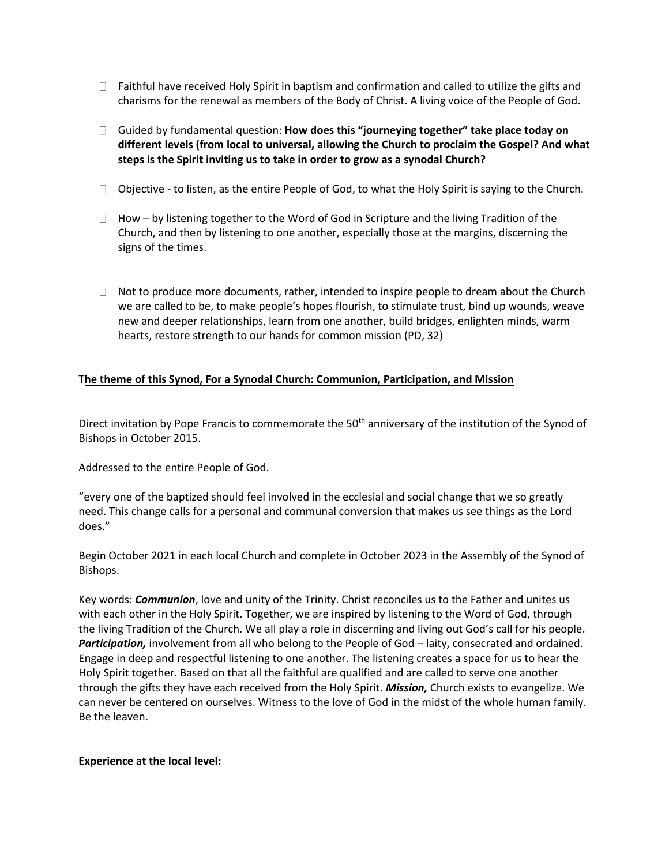- $\Box$  Faithful have received Holy Spirit in baptism and confirmation and called to utilize the gifts and charisms for the renewal as members of the Body of Christ. A living voice of the People of God.
- Guided by fundamental question: **How does this "journeying together" take place today on different levels (from local to universal, allowing the Church to proclaim the Gospel? And what steps is the Spirit inviting us to take in order to grow as a synodal Church?**
- $\Box$  Objective to listen, as the entire People of God, to what the Holy Spirit is saying to the Church.
- $\Box$  How by listening together to the Word of God in Scripture and the living Tradition of the Church, and then by listening to one another, especially those at the margins, discerning the signs of the times.
- $\Box$  Not to produce more documents, rather, intended to inspire people to dream about the Church we are called to be, to make people's hopes flourish, to stimulate trust, bind up wounds, weave new and deeper relationships, learn from one another, build bridges, enlighten minds, warm hearts, restore strength to our hands for common mission (PD, 32)

# T**he theme of this Synod, For a Synodal Church: Communion, Participation, and Mission**

Direct invitation by Pope Francis to commemorate the 50<sup>th</sup> anniversary of the institution of the Synod of Bishops in October 2015.

Addressed to the entire People of God.

"every one of the baptized should feel involved in the ecclesial and social change that we so greatly need. This change calls for a personal and communal conversion that makes us see things as the Lord does."

Begin October 2021 in each local Church and complete in October 2023 in the Assembly of the Synod of Bishops.

Key words: *Communion*, love and unity of the Trinity. Christ reconciles us to the Father and unites us with each other in the Holy Spirit. Together, we are inspired by listening to the Word of God, through the living Tradition of the Church. We all play a role in discerning and living out God's call for his people. Participation, involvement from all who belong to the People of God - laity, consecrated and ordained. Engage in deep and respectful listening to one another. The listening creates a space for us to hear the Holy Spirit together. Based on that all the faithful are qualified and are called to serve one another through the gifts they have each received from the Holy Spirit. *Mission,* Church exists to evangelize. We can never be centered on ourselves. Witness to the love of God in the midst of the whole human family. Be the leaven.

#### **Experience at the local level:**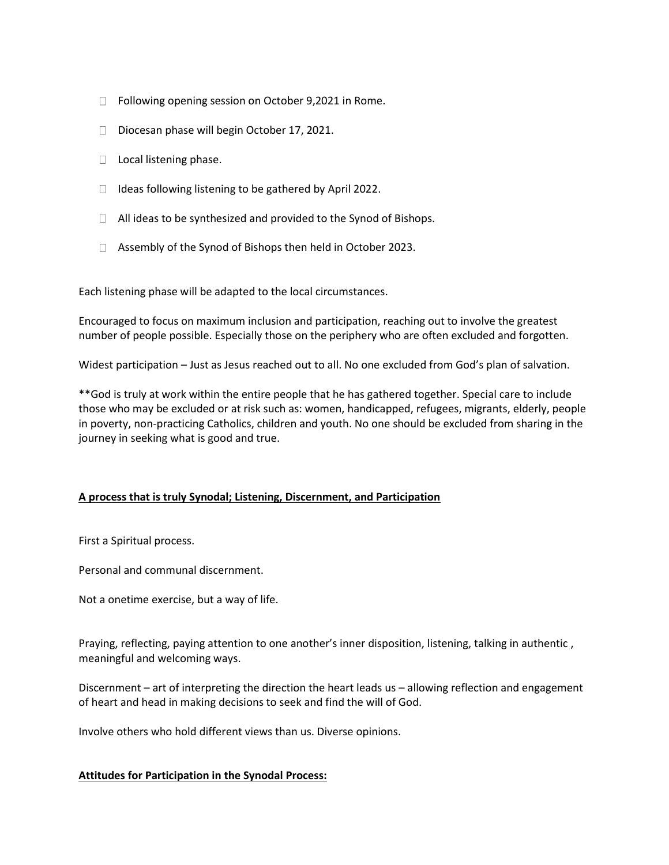- □ Following opening session on October 9,2021 in Rome.
- $\Box$  Diocesan phase will begin October 17, 2021.
- $\Box$  Local listening phase.
- $\Box$  Ideas following listening to be gathered by April 2022.
- $\Box$  All ideas to be synthesized and provided to the Synod of Bishops.
- $\Box$  Assembly of the Synod of Bishops then held in October 2023.

Each listening phase will be adapted to the local circumstances.

Encouraged to focus on maximum inclusion and participation, reaching out to involve the greatest number of people possible. Especially those on the periphery who are often excluded and forgotten.

Widest participation – Just as Jesus reached out to all. No one excluded from God's plan of salvation.

\*\*God is truly at work within the entire people that he has gathered together. Special care to include those who may be excluded or at risk such as: women, handicapped, refugees, migrants, elderly, people in poverty, non-practicing Catholics, children and youth. No one should be excluded from sharing in the journey in seeking what is good and true.

## **A process that is truly Synodal; Listening, Discernment, and Participation**

First a Spiritual process.

Personal and communal discernment.

Not a onetime exercise, but a way of life.

Praying, reflecting, paying attention to one another's inner disposition, listening, talking in authentic , meaningful and welcoming ways.

Discernment – art of interpreting the direction the heart leads us – allowing reflection and engagement of heart and head in making decisions to seek and find the will of God.

Involve others who hold different views than us. Diverse opinions.

## **Attitudes for Participation in the Synodal Process:**